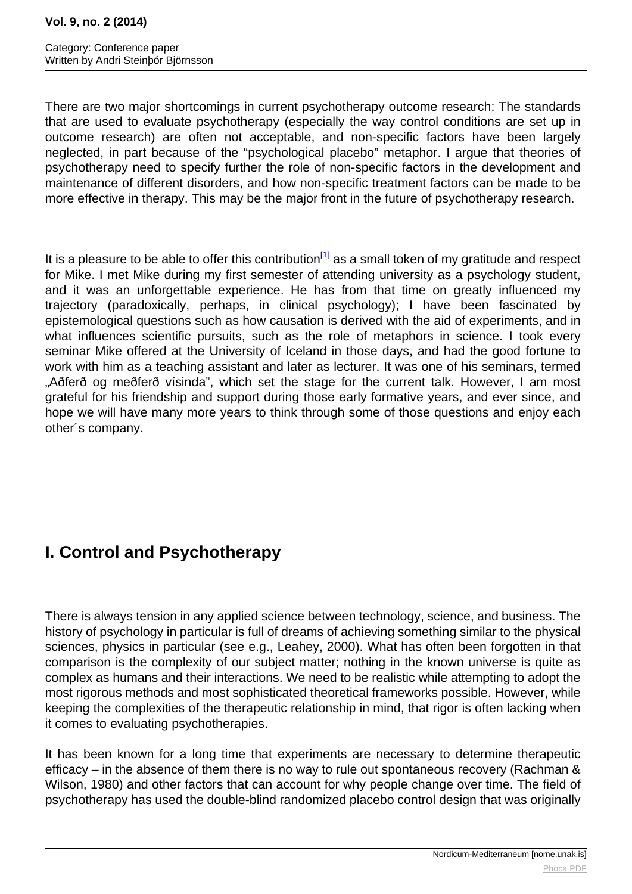<span id="page-0-0"></span>There are two major shortcomings in current psychotherapy outcome research: The standards that are used to evaluate psychotherapy (especially the way control conditions are set up in outcome research) are often not acceptable, and non-specific factors have been largely neglected, in part because of the "psychological placebo" metaphor. I argue that theories of psychotherapy need to specify further the role of non-specific factors in the development and maintenance of different disorders, and how non-specific treatment factors can be made to be more effective in therapy. This may be the major front in the future of psychotherapy research.

It is a pleasure to be able to offer this contribution $11$  as a small token of my gratitude and respect for Mike. I met Mike during my first semester of attending university as a psychology student, and it was an unforgettable experience. He has from that time on greatly influenced my trajectory (paradoxically, perhaps, in clinical psychology); I have been fascinated by epistemological questions such as how causation is derived with the aid of experiments, and in what influences scientific pursuits, such as the role of metaphors in science. I took every seminar Mike offered at the University of Iceland in those days, and had the good fortune to work with him as a teaching assistant and later as lecturer. It was one of his seminars, termed "Aðferð og meðferð vísinda", which set the stage for the current talk. However, I am most grateful for his friendship and support during those early formative years, and ever since, and hope we will have many more years to think through some of those questions and enjoy each other´s company.

# **I. Control and Psychotherapy**

There is always tension in any applied science between technology, science, and business. The history of psychology in particular is full of dreams of achieving something similar to the physical sciences, physics in particular (see e.g., Leahey, 2000). What has often been forgotten in that comparison is the complexity of our subject matter; nothing in the known universe is quite as complex as humans and their interactions. We need to be realistic while attempting to adopt the most rigorous methods and most sophisticated theoretical frameworks possible. However, while keeping the complexities of the therapeutic relationship in mind, that rigor is often lacking when it comes to evaluating psychotherapies.

It has been known for a long time that experiments are necessary to determine therapeutic efficacy – in the absence of them there is no way to rule out spontaneous recovery (Rachman & Wilson, 1980) and other factors that can account for why people change over time. The field of psychotherapy has used the double-blind randomized placebo control design that was originally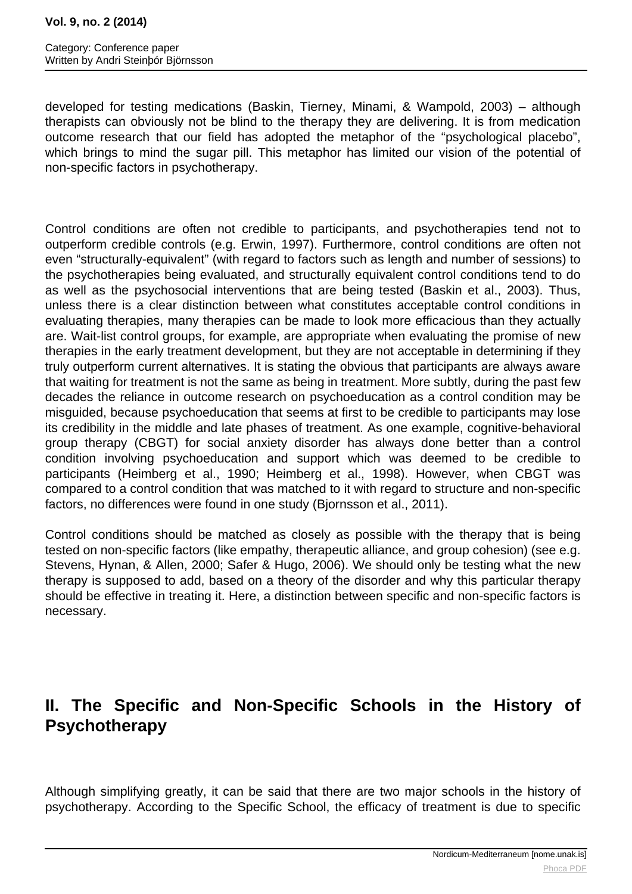#### **Vol. 9, no. 2 (2014)**

developed for testing medications (Baskin, Tierney, Minami, & Wampold, 2003) – although therapists can obviously not be blind to the therapy they are delivering. It is from medication outcome research that our field has adopted the metaphor of the "psychological placebo", which brings to mind the sugar pill. This metaphor has limited our vision of the potential of non-specific factors in psychotherapy.

Control conditions are often not credible to participants, and psychotherapies tend not to outperform credible controls (e.g. Erwin, 1997). Furthermore, control conditions are often not even "structurally-equivalent" (with regard to factors such as length and number of sessions) to the psychotherapies being evaluated, and structurally equivalent control conditions tend to do as well as the psychosocial interventions that are being tested (Baskin et al., 2003). Thus, unless there is a clear distinction between what constitutes acceptable control conditions in evaluating therapies, many therapies can be made to look more efficacious than they actually are. Wait-list control groups, for example, are appropriate when evaluating the promise of new therapies in the early treatment development, but they are not acceptable in determining if they truly outperform current alternatives. It is stating the obvious that participants are always aware that waiting for treatment is not the same as being in treatment. More subtly, during the past few decades the reliance in outcome research on psychoeducation as a control condition may be misguided, because psychoeducation that seems at first to be credible to participants may lose its credibility in the middle and late phases of treatment. As one example, cognitive-behavioral group therapy (CBGT) for social anxiety disorder has always done better than a control condition involving psychoeducation and support which was deemed to be credible to participants (Heimberg et al., 1990; Heimberg et al., 1998). However, when CBGT was compared to a control condition that was matched to it with regard to structure and non-specific factors, no differences were found in one study (Bjornsson et al., 2011).

Control conditions should be matched as closely as possible with the therapy that is being tested on non-specific factors (like empathy, therapeutic alliance, and group cohesion) (see e.g. Stevens, Hynan, & Allen, 2000; Safer & Hugo, 2006). We should only be testing what the new therapy is supposed to add, based on a theory of the disorder and why this particular therapy should be effective in treating it. Here, a distinction between specific and non-specific factors is necessary.

## **II. The Specific and Non-Specific Schools in the History of Psychotherapy**

Although simplifying greatly, it can be said that there are two major schools in the history of psychotherapy. According to the Specific School, the efficacy of treatment is due to specific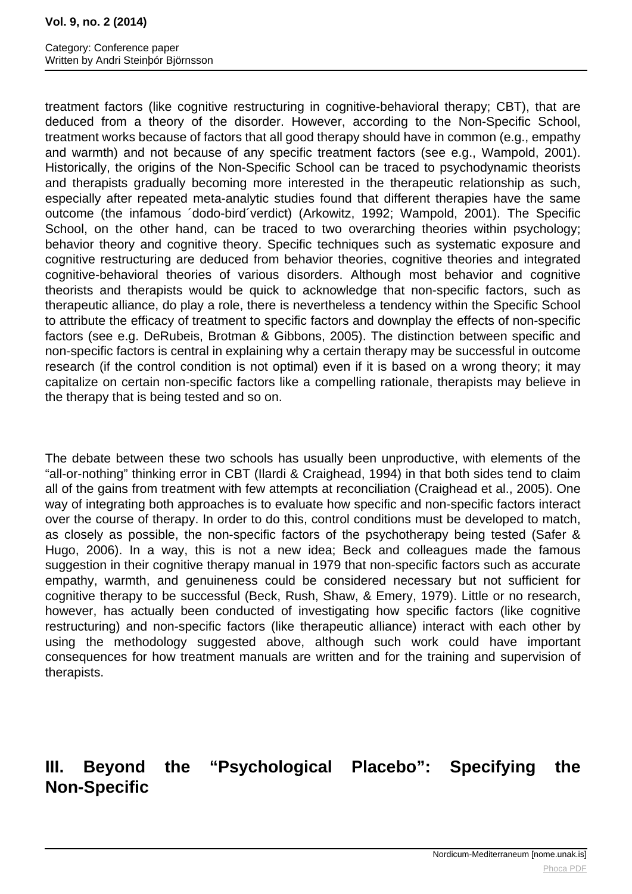#### **Vol. 9, no. 2 (2014)**

treatment factors (like cognitive restructuring in cognitive-behavioral therapy; CBT), that are deduced from a theory of the disorder. However, according to the Non-Specific School, treatment works because of factors that all good therapy should have in common (e.g., empathy and warmth) and not because of any specific treatment factors (see e.g., Wampold, 2001). Historically, the origins of the Non-Specific School can be traced to psychodynamic theorists and therapists gradually becoming more interested in the therapeutic relationship as such, especially after repeated meta-analytic studies found that different therapies have the same outcome (the infamous ´dodo-bird´verdict) (Arkowitz, 1992; Wampold, 2001). The Specific School, on the other hand, can be traced to two overarching theories within psychology; behavior theory and cognitive theory. Specific techniques such as systematic exposure and cognitive restructuring are deduced from behavior theories, cognitive theories and integrated cognitive-behavioral theories of various disorders. Although most behavior and cognitive theorists and therapists would be quick to acknowledge that non-specific factors, such as therapeutic alliance, do play a role, there is nevertheless a tendency within the Specific School to attribute the efficacy of treatment to specific factors and downplay the effects of non-specific factors (see e.g. DeRubeis, Brotman & Gibbons, 2005). The distinction between specific and non-specific factors is central in explaining why a certain therapy may be successful in outcome research (if the control condition is not optimal) even if it is based on a wrong theory; it may capitalize on certain non-specific factors like a compelling rationale, therapists may believe in the therapy that is being tested and so on.

The debate between these two schools has usually been unproductive, with elements of the "all-or-nothing" thinking error in CBT (Ilardi & Craighead, 1994) in that both sides tend to claim all of the gains from treatment with few attempts at reconciliation (Craighead et al., 2005). One way of integrating both approaches is to evaluate how specific and non-specific factors interact over the course of therapy. In order to do this, control conditions must be developed to match, as closely as possible, the non-specific factors of the psychotherapy being tested (Safer & Hugo, 2006). In a way, this is not a new idea; Beck and colleagues made the famous suggestion in their cognitive therapy manual in 1979 that non-specific factors such as accurate empathy, warmth, and genuineness could be considered necessary but not sufficient for cognitive therapy to be successful (Beck, Rush, Shaw, & Emery, 1979). Little or no research, however, has actually been conducted of investigating how specific factors (like cognitive restructuring) and non-specific factors (like therapeutic alliance) interact with each other by using the methodology suggested above, although such work could have important consequences for how treatment manuals are written and for the training and supervision of therapists.

## **III. Beyond the "Psychological Placebo": Specifying the Non-Specific**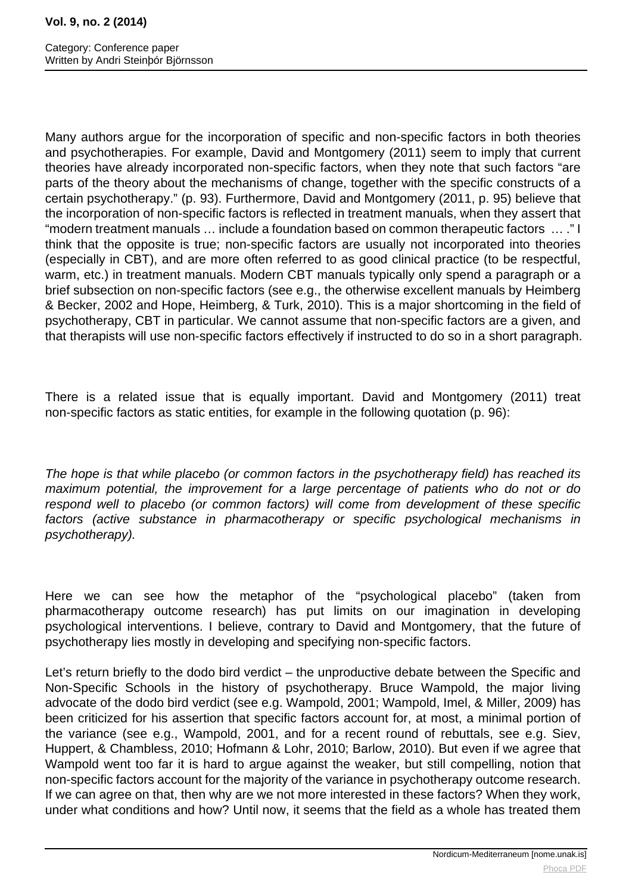Many authors argue for the incorporation of specific and non-specific factors in both theories and psychotherapies. For example, David and Montgomery (2011) seem to imply that current theories have already incorporated non-specific factors, when they note that such factors "are parts of the theory about the mechanisms of change, together with the specific constructs of a certain psychotherapy." (p. 93). Furthermore, David and Montgomery (2011, p. 95) believe that the incorporation of non-specific factors is reflected in treatment manuals, when they assert that "modern treatment manuals … include a foundation based on common therapeutic factors … ." I think that the opposite is true; non-specific factors are usually not incorporated into theories (especially in CBT), and are more often referred to as good clinical practice (to be respectful, warm, etc.) in treatment manuals. Modern CBT manuals typically only spend a paragraph or a brief subsection on non-specific factors (see e.g., the otherwise excellent manuals by Heimberg & Becker, 2002 and Hope, Heimberg, & Turk, 2010). This is a major shortcoming in the field of psychotherapy, CBT in particular. We cannot assume that non-specific factors are a given, and that therapists will use non-specific factors effectively if instructed to do so in a short paragraph.

There is a related issue that is equally important. David and Montgomery (2011) treat non-specific factors as static entities, for example in the following quotation (p. 96):

The hope is that while placebo (or common factors in the psychotherapy field) has reached its maximum potential, the improvement for a large percentage of patients who do not or do respond well to placebo (or common factors) will come from development of these specific factors (active substance in pharmacotherapy or specific psychological mechanisms in psychotherapy).

Here we can see how the metaphor of the "psychological placebo" (taken from pharmacotherapy outcome research) has put limits on our imagination in developing psychological interventions. I believe, contrary to David and Montgomery, that the future of psychotherapy lies mostly in developing and specifying non-specific factors.

Let's return briefly to the dodo bird verdict – the unproductive debate between the Specific and Non-Specific Schools in the history of psychotherapy. Bruce Wampold, the major living advocate of the dodo bird verdict (see e.g. Wampold, 2001; Wampold, Imel, & Miller, 2009) has been criticized for his assertion that specific factors account for, at most, a minimal portion of the variance (see e.g., Wampold, 2001, and for a recent round of rebuttals, see e.g. Siev, Huppert, & Chambless, 2010; Hofmann & Lohr, 2010; Barlow, 2010). But even if we agree that Wampold went too far it is hard to argue against the weaker, but still compelling, notion that non-specific factors account for the majority of the variance in psychotherapy outcome research. If we can agree on that, then why are we not more interested in these factors? When they work, under what conditions and how? Until now, it seems that the field as a whole has treated them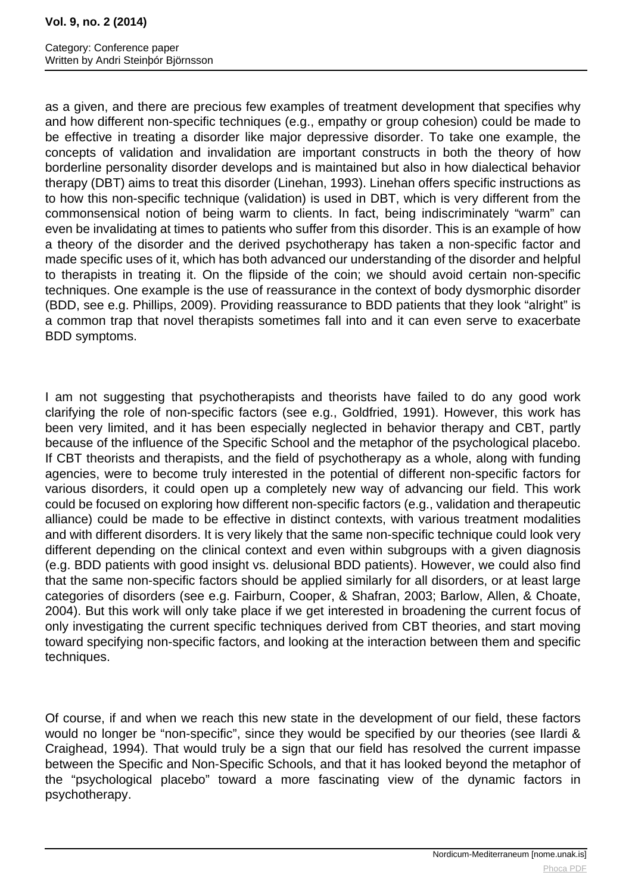#### **Vol. 9, no. 2 (2014)**

as a given, and there are precious few examples of treatment development that specifies why and how different non-specific techniques (e.g., empathy or group cohesion) could be made to be effective in treating a disorder like major depressive disorder. To take one example, the concepts of validation and invalidation are important constructs in both the theory of how borderline personality disorder develops and is maintained but also in how dialectical behavior therapy (DBT) aims to treat this disorder (Linehan, 1993). Linehan offers specific instructions as to how this non-specific technique (validation) is used in DBT, which is very different from the commonsensical notion of being warm to clients. In fact, being indiscriminately "warm" can even be invalidating at times to patients who suffer from this disorder. This is an example of how a theory of the disorder and the derived psychotherapy has taken a non-specific factor and made specific uses of it, which has both advanced our understanding of the disorder and helpful to therapists in treating it. On the flipside of the coin; we should avoid certain non-specific techniques. One example is the use of reassurance in the context of body dysmorphic disorder (BDD, see e.g. Phillips, 2009). Providing reassurance to BDD patients that they look "alright" is a common trap that novel therapists sometimes fall into and it can even serve to exacerbate BDD symptoms.

I am not suggesting that psychotherapists and theorists have failed to do any good work clarifying the role of non-specific factors (see e.g., Goldfried, 1991). However, this work has been very limited, and it has been especially neglected in behavior therapy and CBT, partly because of the influence of the Specific School and the metaphor of the psychological placebo. If CBT theorists and therapists, and the field of psychotherapy as a whole, along with funding agencies, were to become truly interested in the potential of different non-specific factors for various disorders, it could open up a completely new way of advancing our field. This work could be focused on exploring how different non-specific factors (e.g., validation and therapeutic alliance) could be made to be effective in distinct contexts, with various treatment modalities and with different disorders. It is very likely that the same non-specific technique could look very different depending on the clinical context and even within subgroups with a given diagnosis (e.g. BDD patients with good insight vs. delusional BDD patients). However, we could also find that the same non-specific factors should be applied similarly for all disorders, or at least large categories of disorders (see e.g. Fairburn, Cooper, & Shafran, 2003; Barlow, Allen, & Choate, 2004). But this work will only take place if we get interested in broadening the current focus of only investigating the current specific techniques derived from CBT theories, and start moving toward specifying non-specific factors, and looking at the interaction between them and specific techniques.

Of course, if and when we reach this new state in the development of our field, these factors would no longer be "non-specific", since they would be specified by our theories (see Ilardi & Craighead, 1994). That would truly be a sign that our field has resolved the current impasse between the Specific and Non-Specific Schools, and that it has looked beyond the metaphor of the "psychological placebo" toward a more fascinating view of the dynamic factors in psychotherapy.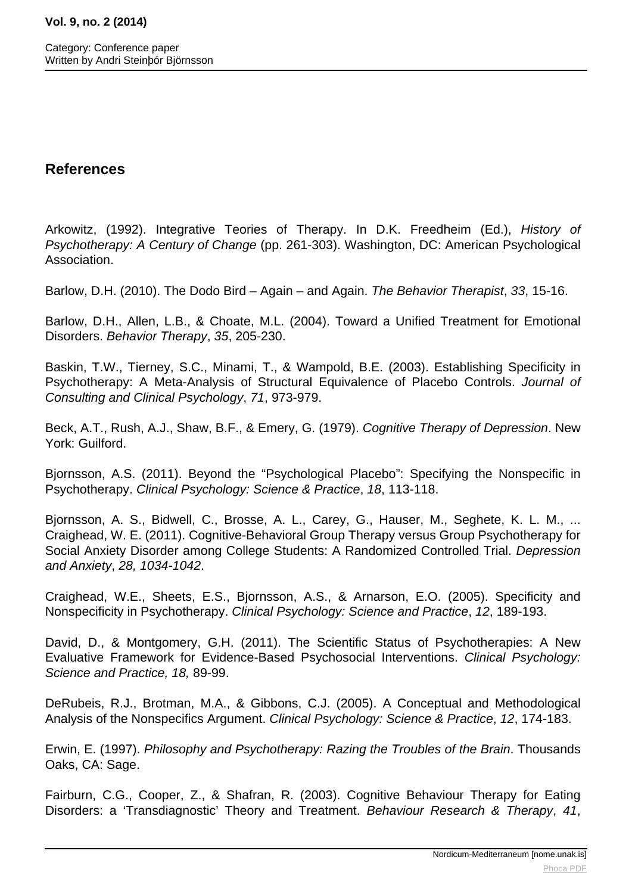### **References**

Arkowitz, (1992). Integrative Teories of Therapy. In D.K. Freedheim (Ed.), History of Psychotherapy: A Century of Change (pp. 261-303). Washington, DC: American Psychological Association.

Barlow, D.H. (2010). The Dodo Bird – Again – and Again. The Behavior Therapist, 33, 15-16.

Barlow, D.H., Allen, L.B., & Choate, M.L. (2004). Toward a Unified Treatment for Emotional Disorders. Behavior Therapy, 35, 205-230.

Baskin, T.W., Tierney, S.C., Minami, T., & Wampold, B.E. (2003). Establishing Specificity in Psychotherapy: A Meta-Analysis of Structural Equivalence of Placebo Controls. Journal of Consulting and Clinical Psychology, 71, 973-979.

Beck, A.T., Rush, A.J., Shaw, B.F., & Emery, G. (1979). Cognitive Therapy of Depression. New York: Guilford.

Bjornsson, A.S. (2011). Beyond the "Psychological Placebo": Specifying the Nonspecific in Psychotherapy. Clinical Psychology: Science & Practice, 18, 113-118.

Bjornsson, A. S., Bidwell, C., Brosse, A. L., Carey, G., Hauser, M., Seghete, K. L. M., ... Craighead, W. E. (2011). Cognitive-Behavioral Group Therapy versus Group Psychotherapy for Social Anxiety Disorder among College Students: A Randomized Controlled Trial. Depression and Anxiety, 28, 1034-1042.

Craighead, W.E., Sheets, E.S., Bjornsson, A.S., & Arnarson, E.O. (2005). Specificity and Nonspecificity in Psychotherapy. Clinical Psychology: Science and Practice, 12, 189-193.

David, D., & Montgomery, G.H. (2011). The Scientific Status of Psychotherapies: A New Evaluative Framework for Evidence-Based Psychosocial Interventions. Clinical Psychology: Science and Practice, 18, 89-99.

DeRubeis, R.J., Brotman, M.A., & Gibbons, C.J. (2005). A Conceptual and Methodological Analysis of the Nonspecifics Argument. Clinical Psychology: Science & Practice, 12, 174-183.

Erwin, E. (1997). Philosophy and Psychotherapy: Razing the Troubles of the Brain. Thousands Oaks, CA: Sage.

Fairburn, C.G., Cooper, Z., & Shafran, R. (2003). Cognitive Behaviour Therapy for Eating Disorders: a 'Transdiagnostic' Theory and Treatment. Behaviour Research & Therapy, 41,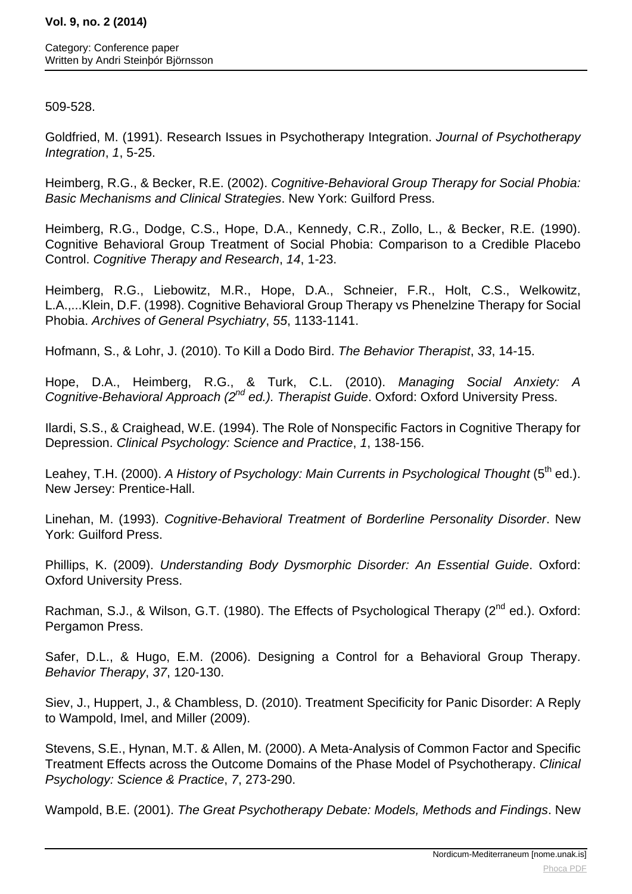### 509-528.

Goldfried, M. (1991). Research Issues in Psychotherapy Integration. Journal of Psychotherapy Integration, 1, 5-25.

Heimberg, R.G., & Becker, R.E. (2002). Cognitive-Behavioral Group Therapy for Social Phobia: Basic Mechanisms and Clinical Strategies. New York: Guilford Press.

Heimberg, R.G., Dodge, C.S., Hope, D.A., Kennedy, C.R., Zollo, L., & Becker, R.E. (1990). Cognitive Behavioral Group Treatment of Social Phobia: Comparison to a Credible Placebo Control. Cognitive Therapy and Research, 14, 1-23.

Heimberg, R.G., Liebowitz, M.R., Hope, D.A., Schneier, F.R., Holt, C.S., Welkowitz, L.A.,...Klein, D.F. (1998). Cognitive Behavioral Group Therapy vs Phenelzine Therapy for Social Phobia. Archives of General Psychiatry, 55, 1133-1141.

Hofmann, S., & Lohr, J. (2010). To Kill a Dodo Bird. The Behavior Therapist, 33, 14-15.

Hope, D.A., Heimberg, R.G., & Turk, C.L. (2010). Managing Social Anxiety: A Cognitive-Behavioral Approach  $(2^{nd}$  ed.). Therapist Guide. Oxford: Oxford University Press.

Ilardi, S.S., & Craighead, W.E. (1994). The Role of Nonspecific Factors in Cognitive Therapy for Depression. Clinical Psychology: Science and Practice, 1, 138-156.

Leahey, T.H. (2000). A History of Psychology: Main Currents in Psychological Thought (5<sup>th</sup> ed.). New Jersey: Prentice-Hall.

Linehan, M. (1993). Cognitive-Behavioral Treatment of Borderline Personality Disorder. New York: Guilford Press.

Phillips, K. (2009). Understanding Body Dysmorphic Disorder: An Essential Guide. Oxford: Oxford University Press.

Rachman, S.J., & Wilson, G.T. (1980). The Effects of Psychological Therapy (2<sup>nd</sup> ed.). Oxford: Pergamon Press.

Safer, D.L., & Hugo, E.M. (2006). Designing a Control for a Behavioral Group Therapy. Behavior Therapy, 37, 120-130.

Siev, J., Huppert, J., & Chambless, D. (2010). Treatment Specificity for Panic Disorder: A Reply to Wampold, Imel, and Miller (2009).

Stevens, S.E., Hynan, M.T. & Allen, M. (2000). A Meta-Analysis of Common Factor and Specific Treatment Effects across the Outcome Domains of the Phase Model of Psychotherapy. Clinical Psychology: Science & Practice, 7, 273-290.

Wampold, B.E. (2001). The Great Psychotherapy Debate: Models, Methods and Findings. New